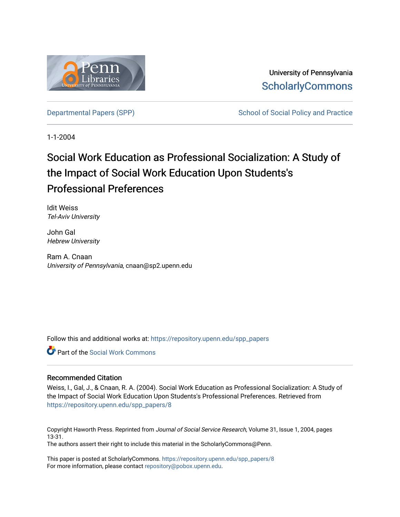

University of Pennsylvania **ScholarlyCommons** 

[Departmental Papers \(SPP\)](https://repository.upenn.edu/spp_papers) School of Social Policy and Practice

1-1-2004

# Social Work Education as Professional Socialization: A Study of the Impact of Social Work Education Upon Students's **Professional Preferences**

Idit Weiss Tel-Aviv University

John Gal Hebrew University

Ram A. Cnaan University of Pennsylvania, cnaan@sp2.upenn.edu

Follow this and additional works at: [https://repository.upenn.edu/spp\\_papers](https://repository.upenn.edu/spp_papers?utm_source=repository.upenn.edu%2Fspp_papers%2F8&utm_medium=PDF&utm_campaign=PDFCoverPages) 

Part of the [Social Work Commons](http://network.bepress.com/hgg/discipline/713?utm_source=repository.upenn.edu%2Fspp_papers%2F8&utm_medium=PDF&utm_campaign=PDFCoverPages)

## Recommended Citation

Weiss, I., Gal, J., & Cnaan, R. A. (2004). Social Work Education as Professional Socialization: A Study of the Impact of Social Work Education Upon Students's Professional Preferences. Retrieved from [https://repository.upenn.edu/spp\\_papers/8](https://repository.upenn.edu/spp_papers/8?utm_source=repository.upenn.edu%2Fspp_papers%2F8&utm_medium=PDF&utm_campaign=PDFCoverPages) 

Copyright Haworth Press. Reprinted from Journal of Social Service Research, Volume 31, Issue 1, 2004, pages 13-31. The authors assert their right to include this material in the ScholarlyCommons@Penn.

This paper is posted at ScholarlyCommons. [https://repository.upenn.edu/spp\\_papers/8](https://repository.upenn.edu/spp_papers/8)  For more information, please contact [repository@pobox.upenn.edu.](mailto:repository@pobox.upenn.edu)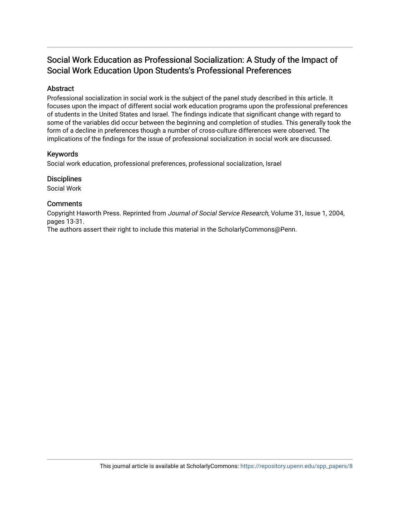## Social Work Education as Professional Socialization: A Study of the Impact of Social Work Education Upon Students's Professional Preferences

## Abstract

Professional socialization in social work is the subject of the panel study described in this article. It focuses upon the impact of different social work education programs upon the professional preferences of students in the United States and Israel. The findings indicate that significant change with regard to some of the variables did occur between the beginning and completion of studies. This generally took the form of a decline in preferences though a number of cross-culture differences were observed. The implications of the findings for the issue of professional socialization in social work are discussed.

## Keywords

Social work education, professional preferences, professional socialization, Israel

## **Disciplines**

Social Work

## **Comments**

Copyright Haworth Press. Reprinted from Journal of Social Service Research, Volume 31, Issue 1, 2004, pages 13-31.

The authors assert their right to include this material in the ScholarlyCommons@Penn.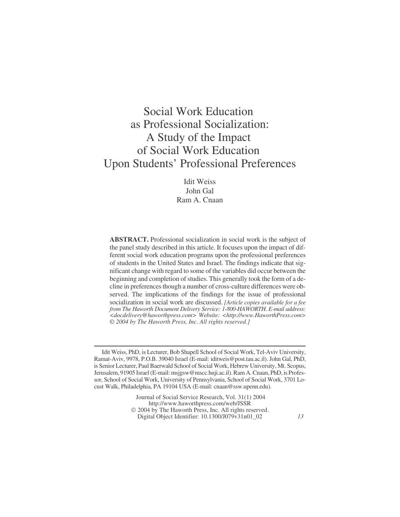## Social Work Education as Professional Socialization: A Study of the Impact of Social Work Education Upon Students' Professional Preferences

Idit Weiss John Gal Ram A. Cnaan

**ABSTRACT.** Professional socialization in social work is the subject of the panel study described in this article. It focuses upon the impact of different social work education programs upon the professional preferences of students in the United States and Israel. The findings indicate that significant change with regard to some of the variables did occur between the beginning and completion of studies. This generally took the form of a decline in preferences though a number of cross-culture differences were observed. The implications of the findings for the issue of professional socialization in social work are discussed. *[Article copies available for a fee from The Haworth Document Delivery Service: 1-800-HAWORTH. E-mail address: <docdelivery@haworthpress.com> Website: <[http://www.HaworthPress.com>](http://www.HaworthPress.com) © 2004 by The Haworth Press, Inc. All rights reserved.]*

Idit Weiss, PhD, is Lecturer, Bob Shapell School of Social Work, Tel-Aviv University, Ramat-Aviv, 9978, P.O.B. 39040 Israel (E-mail: iditweis@post.tau.ac.il). John Gal, PhD, is Senior Lecturer, Paul Baerwald School of Social Work, Hebrew University, Mt. Scopus, Jerusalem, 91905 Israel (E-mail: msjgsw@mscc.huji.ac.il). Ram A. Cnaan, PhD, is Professor, School of Social Work, University of Pennsylvania, School of Social Work, 3701 Locust Walk, Philadelphia, PA 19104 USA (E-mail: cnaan@ssw.upenn.edu).

Journal of Social Service Research, Vol. 31(1) 2004 <http://www.haworthpress.com/web/JSSR> 2004 by The Haworth Press, Inc. All rights reserved. Digital Object Identifier: 10.1300/J079v31n01\_02 *13*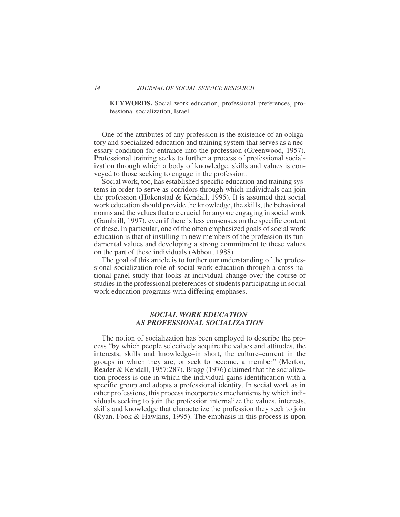**KEYWORDS.** Social work education, professional preferences, professional socialization, Israel

One of the attributes of any profession is the existence of an obligatory and specialized education and training system that serves as a necessary condition for entrance into the profession (Greenwood, 1957). Professional training seeks to further a process of professional socialization through which a body of knowledge, skills and values is conveyed to those seeking to engage in the profession.

Social work, too, has established specific education and training systems in order to serve as corridors through which individuals can join the profession (Hokenstad & Kendall, 1995). It is assumed that social work education should provide the knowledge, the skills, the behavioral norms and the values that are crucial for anyone engaging in social work (Gambrill, 1997), even if there is less consensus on the specific content of these. In particular, one of the often emphasized goals of social work education is that of instilling in new members of the profession its fundamental values and developing a strong commitment to these values on the part of these individuals (Abbott, 1988).

The goal of this article is to further our understanding of the professional socialization role of social work education through a cross-national panel study that looks at individual change over the course of studies in the professional preferences of students participating in social work education programs with differing emphases.

### *SOCIAL WORK EDUCATION AS PROFESSIONAL SOCIALIZATION*

The notion of socialization has been employed to describe the process "by which people selectively acquire the values and attitudes, the interests, skills and knowledge–in short, the culture–current in the groups in which they are, or seek to become, a member" (Merton, Reader & Kendall, 1957:287). Bragg (1976) claimed that the socialization process is one in which the individual gains identification with a specific group and adopts a professional identity. In social work as in other professions, this process incorporates mechanisms by which individuals seeking to join the profession internalize the values, interests, skills and knowledge that characterize the profession they seek to join (Ryan, Fook & Hawkins, 1995). The emphasis in this process is upon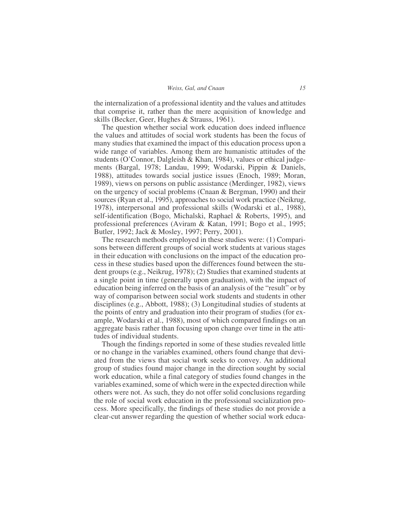the internalization of a professional identity and the values and attitudes that comprise it, rather than the mere acquisition of knowledge and skills (Becker, Geer, Hughes & Strauss, 1961).

The question whether social work education does indeed influence the values and attitudes of social work students has been the focus of many studies that examined the impact of this education process upon a wide range of variables. Among them are humanistic attitudes of the students (O'Connor, Dalgleish & Khan, 1984), values or ethical judgements (Bargal, 1978; Landau, 1999; Wodarski, Pippin & Daniels, 1988), attitudes towards social justice issues (Enoch, 1989; Moran, 1989), views on persons on public assistance (Merdinger, 1982), views on the urgency of social problems (Cnaan & Bergman, 1990) and their sources (Ryan et al., 1995), approaches to social work practice (Neikrug, 1978), interpersonal and professional skills (Wodarski et al., 1988), self-identification (Bogo, Michalski, Raphael & Roberts, 1995), and professional preferences (Aviram & Katan, 1991; Bogo et al., 1995; Butler, 1992; Jack & Mosley, 1997; Perry, 2001).

The research methods employed in these studies were: (1) Comparisons between different groups of social work students at various stages in their education with conclusions on the impact of the education process in these studies based upon the differences found between the student groups (e.g., Neikrug, 1978); (2) Studies that examined students at a single point in time (generally upon graduation), with the impact of education being inferred on the basis of an analysis of the "result" or by way of comparison between social work students and students in other disciplines (e.g., Abbott, 1988); (3) Longitudinal studies of students at the points of entry and graduation into their program of studies (for example, Wodarski et al., 1988), most of which compared findings on an aggregate basis rather than focusing upon change over time in the attitudes of individual students.

Though the findings reported in some of these studies revealed little or no change in the variables examined, others found change that deviated from the views that social work seeks to convey. An additional group of studies found major change in the direction sought by social work education, while a final category of studies found changes in the variables examined, some of which were in the expected direction while others were not. As such, they do not offer solid conclusions regarding the role of social work education in the professional socialization process. More specifically, the findings of these studies do not provide a clear-cut answer regarding the question of whether social work educa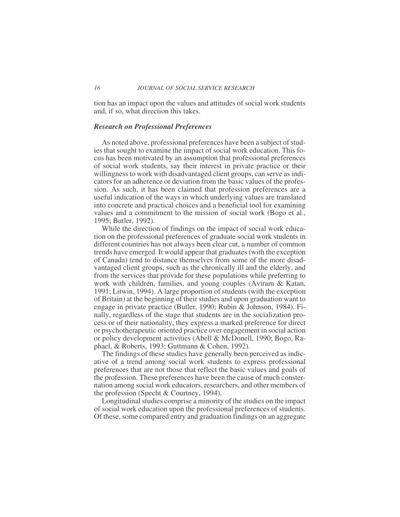tion has an impact upon the values and attitudes of social work students and, if so, what direction this takes.

#### *Research on Professional Preferences*

As noted above, professional preferences have been a subject of studies that sought to examine the impact of social work education. This focus has been motivated by an assumption that professional preferences of social work students, say their interest in private practice or their willingness to work with disadvantaged client groups, can serve as indicators for an adherence or deviation from the basic values of the profession. As such, it has been claimed that profession preferences are a useful indication of the ways in which underlying values are translated into concrete and practical choices and a beneficial tool for examining values and a commitment to the mission of social work (Bogo et al., 1995; Butler, 1992).

While the direction of findings on the impact of social work education on the professional preferences of graduate social work students in different countries has not always been clear cut, a number of common trends have emerged. It would appear that graduates (with the exception of Canada) tend to distance themselves from some of the more disadvantaged client groups, such as the chronically ill and the elderly, and from the services that provide for these populations while preferring to work with children, families, and young couples (Aviram & Katan, 1991; Litwin, 1994). A large proportion of students (with the exception of Britain) at the beginning of their studies and upon graduation want to engage in private practice (Butler, 1990; Rubin & Johnson, 1984). Finally, regardless of the stage that students are in the socialization process or of their nationality, they express a marked preference for direct or psychotherapeutic oriented practice over engagement in social action or policy development activities (Abell & McDonell, 1990; Bogo, Raphael, & Roberts, 1993; Guttmann & Cohen, 1992).

The findings of these studies have generally been perceived as indicative of a trend among social work students to express professional preferences that are not those that reflect the basic values and goals of the profession. These preferences have been the cause of much consternation among social work educators, researchers, and other members of the profession (Specht & Courtney, 1994).

Longitudinal studies comprise a minority of the studies on the impact of social work education upon the professional preferences of students. Of these, some compared entry and graduation findings on an aggregate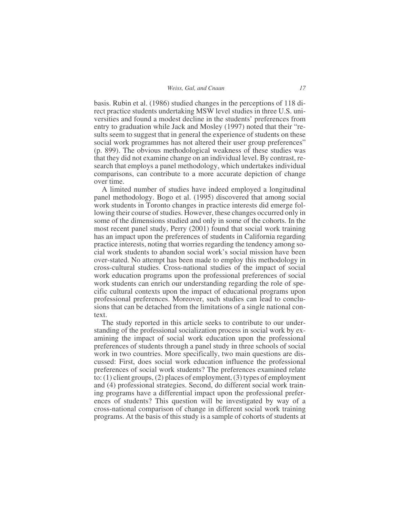#### *Weiss, Gal, and Cnaan 17*

basis. Rubin et al. (1986) studied changes in the perceptions of 118 direct practice students undertaking MSW level studies in three U.S. universities and found a modest decline in the students' preferences from entry to graduation while Jack and Mosley (1997) noted that their "results seem to suggest that in general the experience of students on these social work programmes has not altered their user group preferences" (p. 899). The obvious methodological weakness of these studies was that they did not examine change on an individual level. By contrast, research that employs a panel methodology, which undertakes individual comparisons, can contribute to a more accurate depiction of change over time.

A limited number of studies have indeed employed a longitudinal panel methodology. Bogo et al. (1995) discovered that among social work students in Toronto changes in practice interests did emerge following their course of studies. However, these changes occurred only in some of the dimensions studied and only in some of the cohorts. In the most recent panel study, Perry (2001) found that social work training has an impact upon the preferences of students in California regarding practice interests, noting that worries regarding the tendency among social work students to abandon social work's social mission have been over-stated. No attempt has been made to employ this methodology in cross-cultural studies. Cross-national studies of the impact of social work education programs upon the professional preferences of social work students can enrich our understanding regarding the role of specific cultural contexts upon the impact of educational programs upon professional preferences. Moreover, such studies can lead to conclusions that can be detached from the limitations of a single national context.

The study reported in this article seeks to contribute to our understanding of the professional socialization process in social work by examining the impact of social work education upon the professional preferences of students through a panel study in three schools of social work in two countries. More specifically, two main questions are discussed: First, does social work education influence the professional preferences of social work students? The preferences examined relate to: (1) client groups, (2) places of employment, (3) types of employment and (4) professional strategies. Second, do different social work training programs have a differential impact upon the professional preferences of students? This question will be investigated by way of a cross-national comparison of change in different social work training programs. At the basis of this study is a sample of cohorts of students at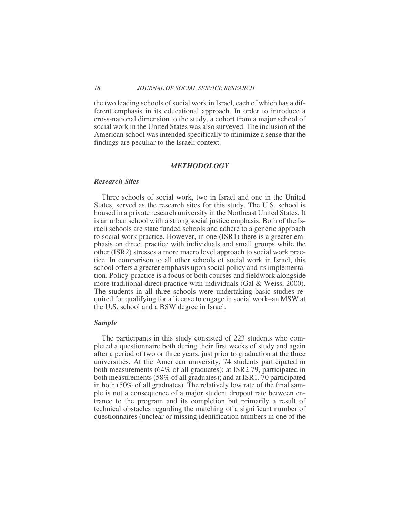the two leading schools of social work in Israel, each of which has a different emphasis in its educational approach. In order to introduce a cross-national dimension to the study, a cohort from a major school of social work in the United States was also surveyed. The inclusion of the American school was intended specifically to minimize a sense that the findings are peculiar to the Israeli context.

#### *METHODOLOGY*

#### *Research Sites*

Three schools of social work, two in Israel and one in the United States, served as the research sites for this study. The U.S. school is housed in a private research university in the Northeast United States. It is an urban school with a strong social justice emphasis. Both of the Israeli schools are state funded schools and adhere to a generic approach to social work practice. However, in one (ISR1) there is a greater emphasis on direct practice with individuals and small groups while the other (ISR2) stresses a more macro level approach to social work practice. In comparison to all other schools of social work in Israel, this school offers a greater emphasis upon social policy and its implementation. Policy-practice is a focus of both courses and fieldwork alongside more traditional direct practice with individuals (Gal & Weiss, 2000). The students in all three schools were undertaking basic studies required for qualifying for a license to engage in social work–an MSW at the U.S. school and a BSW degree in Israel.

#### *Sample*

The participants in this study consisted of 223 students who completed a questionnaire both during their first weeks of study and again after a period of two or three years, just prior to graduation at the three universities. At the American university, 74 students participated in both measurements (64% of all graduates); at ISR2 79, participated in both measurements (58% of all graduates); and at ISR1, 70 participated in both (50% of all graduates). The relatively low rate of the final sample is not a consequence of a major student dropout rate between entrance to the program and its completion but primarily a result of technical obstacles regarding the matching of a significant number of questionnaires (unclear or missing identification numbers in one of the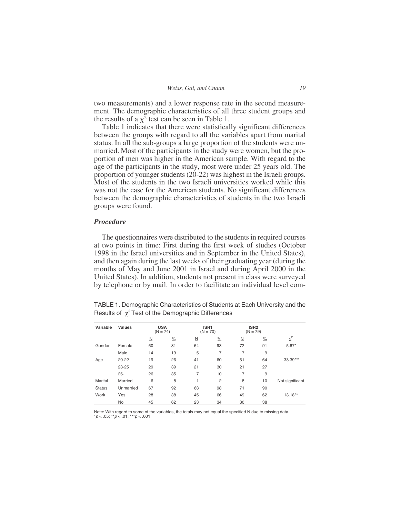| Weiss, Gal, and Cnaan |
|-----------------------|
|-----------------------|

two measurements) and a lower response rate in the second measurement. The demographic characteristics of all three student groups and the results of a  $\chi^2$  test can be seen in Table 1.

Table 1 indicates that there were statistically significant differences between the groups with regard to all the variables apart from marital status. In all the sub-groups a large proportion of the students were unmarried. Most of the participants in the study were women, but the proportion of men was higher in the American sample. With regard to the age of the participants in the study, most were under 25 years old. The proportion of younger students (20-22) was highest in the Israeli groups. Most of the students in the two Israeli universities worked while this was not the case for the American students. No significant differences between the demographic characteristics of students in the two Israeli groups were found.

#### *Procedure*

The questionnaires were distributed to the students in required courses at two points in time: First during the first week of studies (October 1998 in the Israel universities and in September in the United States), and then again during the last weeks of their graduating year (during the months of May and June 2001 in Israel and during April 2000 in the United States). In addition, students not present in class were surveyed by telephone or by mail. In order to facilitate an individual level com-

TABLE 1. Demographic Characteristics of Students at Each University and the Results of  $\chi^2$  Test of the Demographic Differences

| Variable      | <b>Values</b> | <b>USA</b><br>$(N = 74)$ |               | ISR1<br>$(N = 70)$       |                | ISR <sub>2</sub><br>$(N = 79)$ |                       |                 |
|---------------|---------------|--------------------------|---------------|--------------------------|----------------|--------------------------------|-----------------------|-----------------|
|               |               | $\overline{\mathsf{N}}$  | $\frac{9}{6}$ | $\underline{\mathsf{N}}$ | $\frac{9}{6}$  | $\underline{\mathsf{N}}$       | $\frac{\%}{\sqrt{2}}$ | $x^2$           |
| Gender        | Female        | 60                       | 81            | 64                       | 93             | 72                             | 91                    | $5.67*$         |
|               | Male          | 14                       | 19            | 5                        | 7              | 7                              | 9                     |                 |
| Age           | $20 - 22$     | 19                       | 26            | 41                       | 60             | 51                             | 64                    | 33.39***        |
|               | $23 - 25$     | 29                       | 39            | 21                       | 30             | 21                             | 27                    |                 |
|               | $26 -$        | 26                       | 35            | 7                        | 10             | 7                              | 9                     |                 |
| Marital       | Married       | 6                        | 8             | 1                        | $\overline{2}$ | 8                              | 10                    | Not significant |
| <b>Status</b> | Unmarried     | 67                       | 92            | 68                       | 98             | 71                             | 90                    |                 |
| Work          | Yes           | 28                       | 38            | 45                       | 66             | 49                             | 62                    | $13.18**$       |
|               | No            | 45                       | 62            | 23                       | 34             | 30                             | 38                    |                 |

Note: With regard to some of the variables, the totals may not equal the specified N due to missing data.<br>\*p < .05; \*\*p < .01; \*\*\*p < .001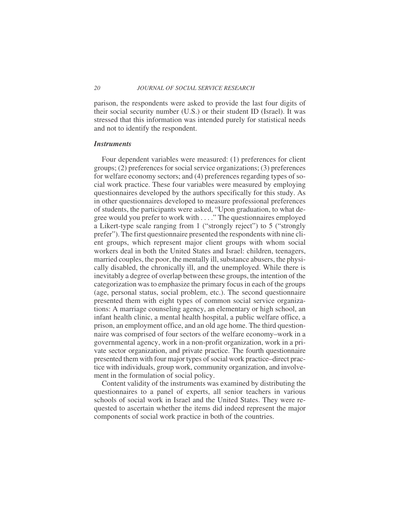parison, the respondents were asked to provide the last four digits of their social security number (U.S.) or their student ID (Israel). It was stressed that this information was intended purely for statistical needs and not to identify the respondent.

#### *Instruments*

Four dependent variables were measured: (1) preferences for client groups; (2) preferences for social service organizations; (3) preferences for welfare economy sectors; and (4) preferences regarding types of social work practice. These four variables were measured by employing questionnaires developed by the authors specifically for this study. As in other questionnaires developed to measure professional preferences of students, the participants were asked, "Upon graduation, to what degree would you prefer to work with . . . ." The questionnaires employed a Likert-type scale ranging from 1 ("strongly reject") to 5 ("strongly prefer"). The first questionnaire presented the respondents with nine client groups, which represent major client groups with whom social workers deal in both the United States and Israel: children, teenagers, married couples, the poor, the mentally ill, substance abusers, the physically disabled, the chronically ill, and the unemployed. While there is inevitably a degree of overlap between these groups, the intention of the categorization was to emphasize the primary focus in each of the groups (age, personal status, social problem, etc.). The second questionnaire presented them with eight types of common social service organizations: A marriage counseling agency, an elementary or high school, an infant health clinic, a mental health hospital, a public welfare office, a prison, an employment office, and an old age home. The third questionnaire was comprised of four sectors of the welfare economy–work in a governmental agency, work in a non-profit organization, work in a private sector organization, and private practice. The fourth questionnaire presented them with four major types of social work practice–direct practice with individuals, group work, community organization, and involvement in the formulation of social policy.

Content validity of the instruments was examined by distributing the questionnaires to a panel of experts, all senior teachers in various schools of social work in Israel and the United States. They were requested to ascertain whether the items did indeed represent the major components of social work practice in both of the countries.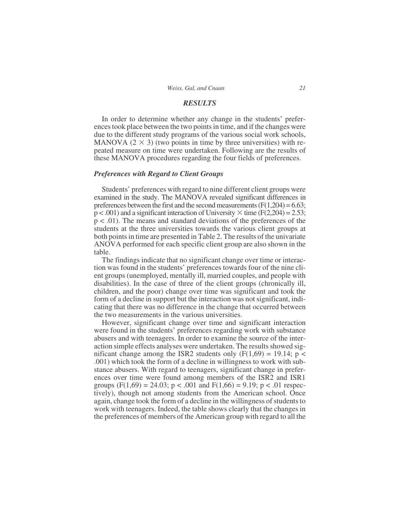#### *RESULTS*

In order to determine whether any change in the students' preferences took place between the two points in time, and if the changes were due to the different study programs of the various social work schools, MANOVA  $(2 \times 3)$  (two points in time by three universities) with repeated measure on time were undertaken. Following are the results of these MANOVA procedures regarding the four fields of preferences.

#### *Preferences with Regard to Client Groups*

Students' preferences with regard to nine different client groups were examined in the study. The MANOVA revealed significant differences in preferences between the first and the second measurements  $(F(1,204) = 6.63;$  $p < .001$ ) and a significant interaction of University  $\times$  time (F(2,204) = 2.53; p < .01). The means and standard deviations of the preferences of the students at the three universities towards the various client groups at both points in time are presented in Table 2. The results of the univariate ANOVA performed for each specific client group are also shown in the table.

The findings indicate that no significant change over time or interaction was found in the students' preferences towards four of the nine client groups (unemployed, mentally ill, married couples, and people with disabilities). In the case of three of the client groups (chronically ill, children, and the poor) change over time was significant and took the form of a decline in support but the interaction was not significant, indicating that there was no difference in the change that occurred between the two measurements in the various universities.

However, significant change over time and significant interaction were found in the students' preferences regarding work with substance abusers and with teenagers. In order to examine the source of the interaction simple effects analyses were undertaken. The results showed significant change among the ISR2 students only  $(F(1,69) = 19.14; p <$ .001) which took the form of a decline in willingness to work with substance abusers. With regard to teenagers, significant change in preferences over time were found among members of the ISR2 and ISR1 groups  $(F(1,69) = 24.03; p < .001$  and  $F(1,66) = 9.19; p < .01$  respectively), though not among students from the American school. Once again, change took the form of a decline in the willingness of students to work with teenagers. Indeed, the table shows clearly that the changes in the preferences of members of the American group with regard to all the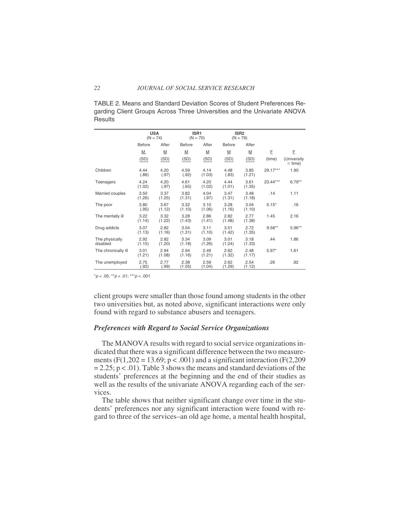TABLE 2. Means and Standard Deviation Scores of Student Preferences Regarding Client Groups Across Three Universities and the Univariate ANOVA **Results** 

|                            | <b>USA</b><br>$(N = 74)$ |                |                | ISR1<br>$(N = 70)$ |                | ISR <sub>2</sub><br>$(N = 79)$ |            |                               |
|----------------------------|--------------------------|----------------|----------------|--------------------|----------------|--------------------------------|------------|-------------------------------|
|                            | <b>Before</b>            | After          | Before         | After              | Before         | After                          |            |                               |
|                            | $\underline{\mathsf{M}}$ | M              | M              | M                  | M              | M                              | E          | E                             |
|                            | (SD)                     | (SD)           | (SD)           | (SD)               | (SD)           | (SD)                           | (time)     | (University<br>$\times$ time) |
| Children                   | 4.44<br>(.86)            | 4.20<br>(.97)  | 4.59<br>(.92)  | 4.14<br>(1.03)     | 4.48<br>(.83)  | 3.85<br>(1.21)                 | 29.17***   | 1.90                          |
| Teenagers                  | 4.24<br>(1.02)           | 4.20<br>(.97)  | 4.61<br>(.65)  | 4.20<br>(1.02)     | 4.44<br>(1.01) | 3.61<br>(1.35)                 | $23.44***$ | $6.79**$                      |
| Married couples            | 3.50<br>(1.26)           | 3.37<br>(1.25) | 3.82<br>(1.31) | 4.04<br>(.97)      | 3.47<br>(1.31) | 3.48<br>(1.18)                 | .14        | 1.11                          |
| The poor                   | 3.80<br>(.95)            | 3.67<br>(1.12) | 3.32<br>(1.10) | 3.10<br>(1.06)     | 3.28<br>(1.16) | 3.04<br>(1.10)                 | $5.15*$    | .16                           |
| The mentally ill           | 3.22<br>(1.14)           | 3.32<br>(1.22) | 3.28<br>(1.43) | 2.86<br>(1.41)     | 2.82<br>(1.48) | 2.77<br>(1.38)                 | 1.45       | 2.16                          |
| Drug addicts               | 3.07<br>(1.13)           | 2.82<br>(1.16) | 3.04<br>(1.31) | 3.11<br>(1.10)     | 3.51<br>(1.42) | 2.72<br>(1.35)                 | $9.58**$   | $5.96***$                     |
| The physically<br>disabled | 2.92<br>(1.15)           | 2.82<br>(1.20) | 3.34<br>(1.18) | 3.09<br>(1.26)     | 3.01<br>(1.24) | 3.18<br>(1.33)                 | .44        | 1.86                          |
| The chronically ill        | 3.01<br>(1.21)           | 2.94<br>(1.08) | 2.94<br>(1.16) | 2.49<br>(1.21)     | 2.62<br>(1.32) | 2.48<br>(1.17)                 | $5.97*$    | 1.61                          |
| The unemployed             | 2.75<br>(.92)            | 2.77<br>(.99)  | 2.38<br>(1.05) | 2.59<br>(1.04)     | 2.62<br>(1.29) | 2.54<br>(1.12)                 | .26        | .92                           |

 $*p < .05; **p < .01; **p < .001$ 

client groups were smaller than those found among students in the other two universities but, as noted above, significant interactions were only found with regard to substance abusers and teenagers.

## *Preferences with Regard to Social Service Organizations*

The MANOVA results with regard to social service organizations indicated that there was a significant difference between the two measurements (F(1,202 = 13.69;  $p < .001$ ) and a significant interaction (F(2,209)  $= 2.25$ ; p < .01). Table 3 shows the means and standard deviations of the students' preferences at the beginning and the end of their studies as well as the results of the univariate ANOVA regarding each of the services.

The table shows that neither significant change over time in the students' preferences nor any significant interaction were found with regard to three of the services–an old age home, a mental health hospital,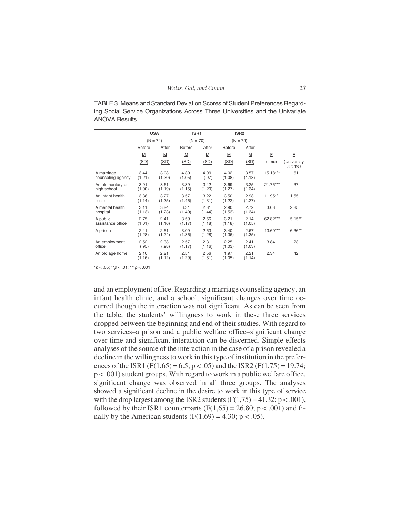TABLE 3. Means and Standard Deviation Scores of Student Preferences Regarding Social Service Organizations Across Three Universities and the Univariate ANOVA Results

|                                 | <b>USA</b>     |                |                | ISR1           |                | ISR <sub>2</sub> |          |                               |
|---------------------------------|----------------|----------------|----------------|----------------|----------------|------------------|----------|-------------------------------|
|                                 | $(N = 74)$     |                | $(N = 70)$     |                | $(N = 79)$     |                  |          |                               |
|                                 | <b>Before</b>  | After          | Before         | After          | Before         | After            |          |                               |
|                                 | M              | M              | M              | M              | M              | M                | E        | E                             |
|                                 | (SD)           | (SD)           | (SD)           | (SD)           | (SD)           | (SD)             | (time)   | (University<br>$\times$ time) |
| A marriage<br>counseling agency | 3.44<br>(1.21) | 3.08<br>(1.30) | 4.30<br>(1.05) | 4.09<br>(.97)  | 4.02<br>(1.08) | 3.57<br>(1.18)   | 15.18*** | .61                           |
| An elementary or<br>high school | 3.91<br>(1.00) | 3.61<br>(1.19) | 3.89<br>(1.15) | 3.42<br>(1.20) | 3.69<br>(1.27) | 3.25<br>(1.34)   | 21.76*** | .37                           |
| An infant health<br>clinic      | 3.38<br>(1.14) | 3.27<br>(1.35) | 3.57<br>(1.46) | 3.22<br>(1.31) | 3.50<br>(1.22) | 2.98<br>(1.27)   | 11.95**  | 1.55                          |
| A mental health<br>hospital     | 3.11<br>(1.13) | 3.24<br>(1.23) | 3.31<br>(1.40) | 2.81<br>(1.44) | 2.90<br>(1.53) | 2.72<br>(1.34)   | 3.08     | 2.85                          |
| A public<br>assistance office   | 2.75<br>(1.01) | 2.41<br>(1.16) | 3.59<br>(1.17) | 2.66<br>(1.18) | 3.21<br>(1.18) | 2.14<br>(1.05)   | 62.82*** | $5.15***$                     |
| A prison                        | 2.41<br>(1.28) | 2.51<br>(1.24) | 3.09<br>(1.36) | 2.63<br>(1.28) | 3.40<br>(1.36) | 2.67<br>(1.35)   | 13.60*** | $6.36**$                      |
| An employment<br>office         | 2.52<br>(.95)  | 2.38<br>(.98)  | 2.57<br>(1.17) | 2.31<br>(1.16) | 2.25<br>(1.03) | 2.41<br>(1.03)   | 3.84     | .23                           |
| An old age home                 | 2.10<br>(1.16) | 2.21<br>(1.12) | 2.51<br>(1.29) | 2.56<br>(1.31) | 1.97<br>(1.05) | 2.21<br>(1.14)   | 2.34     | .42                           |

 $p < .05$ ; \*\*p < .01; \*\*\*p < .001

and an employment office. Regarding a marriage counseling agency, an infant health clinic, and a school, significant changes over time occurred though the interaction was not significant. As can be seen from the table, the students' willingness to work in these three services dropped between the beginning and end of their studies. With regard to two services–a prison and a public welfare office–significant change over time and significant interaction can be discerned. Simple effects analyses of the source of the interaction in the case of a prison revealed a decline in the willingness to work in this type of institution in the preferences of the ISR1 (F(1,65) = 6.5; p < .05) and the ISR2 (F(1,75) = 19.74; p < .001) student groups. With regard to work in a public welfare office, significant change was observed in all three groups. The analyses showed a significant decline in the desire to work in this type of service with the drop largest among the ISR2 students  $(F(1,75) = 41.32; p < .001)$ , followed by their ISR1 counterparts  $(F(1,65) = 26.80; p < .001)$  and finally by the American students  $(F(1,69) = 4.30; p < .05)$ .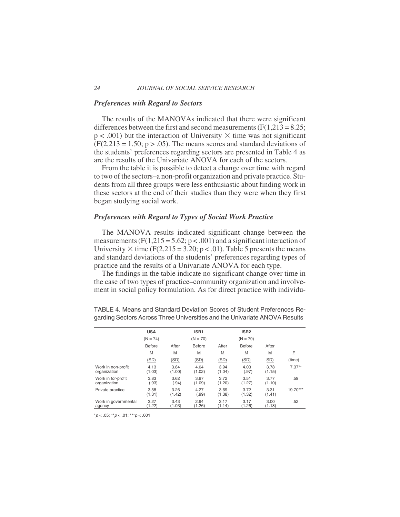#### *Preferences with Regard to Sectors*

The results of the MANOVAs indicated that there were significant differences between the first and second measurements  $(F(1,213 = 8.25))$ ;  $p < .001$ ) but the interaction of University  $\times$  time was not significant  $(F(2,213 = 1.50; p > .05))$ . The means scores and standard deviations of the students' preferences regarding sectors are presented in Table 4 as are the results of the Univariate ANOVA for each of the sectors.

From the table it is possible to detect a change over time with regard to two of the sectors–a non-profit organization and private practice. Students from all three groups were less enthusiastic about finding work in these sectors at the end of their studies than they were when they first began studying social work.

#### *Preferences with Regard to Types of Social Work Practice*

The MANOVA results indicated significant change between the measurements ( $F(1,215 = 5.62; p < .001$ ) and a significant interaction of University  $\times$  time (F(2,215 = 3.20; p < .01). Table 5 presents the means and standard deviations of the students' preferences regarding types of practice and the results of a Univariate ANOVA for each type.

The findings in the table indicate no significant change over time in the case of two types of practice–community organization and involvement in social policy formulation. As for direct practice with individu-

TABLE 4. Means and Standard Deviation Scores of Student Preferences Regarding Sectors Across Three Universities and the Univariate ANOVA Results

|                                    | <b>USA</b>     |                | ISR1           |                | ISR <sub>2</sub> |                |          |
|------------------------------------|----------------|----------------|----------------|----------------|------------------|----------------|----------|
|                                    | $(N = 74)$     |                | $(N = 70)$     |                | $(N = 79)$       |                |          |
|                                    | <b>Before</b>  | After          | Before         | After          | Before           | After          |          |
|                                    | M              | M              | M              | M              | M                | M              | E        |
|                                    | (SD)           | (SD)           | (SD)           | (SD)           | (SD)             | SD)            | (time)   |
| Work in non-profit<br>organization | 4.13<br>(1.03) | 3.84<br>(1.00) | 4.04<br>(1.02) | 3.94<br>(1.04) | 4.03<br>(.97)    | 3.78<br>(1.15) | $7.37**$ |
| Work in for-profit<br>organization | 3.83<br>(.93)  | 3.62<br>(.94)  | 3.97<br>(1.09) | 3.72<br>(1.20) | 3.51<br>(1.27)   | 3.77<br>(1.10) | .59      |
| Private practice                   | 3.58<br>(1.31) | 3.26<br>(1.42) | 4.27<br>(.99)  | 3.69<br>(1.38) | 3.72<br>(1.32)   | 3.31<br>(1.41) | 19.70*** |
| Work in governmental<br>agency     | 3.27<br>(1.22) | 3.43<br>(1.03) | 2.94<br>(1.26) | 3.17<br>(1.14) | 3.17<br>(1.26)   | 3.00<br>(1.18) | .52      |

 $*p < .05; **p < .01; **p < .001$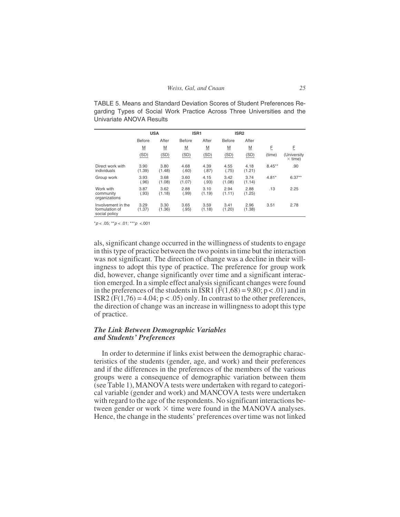TABLE 5. Means and Standard Deviation Scores of Student Preferences Regarding Types of Social Work Practice Across Three Universities and the Univariate ANOVA Results

|                                                       | <b>USA</b>     |                | ISR1           |                | ISR <sub>2</sub> |                |           |                               |
|-------------------------------------------------------|----------------|----------------|----------------|----------------|------------------|----------------|-----------|-------------------------------|
|                                                       | Before         | After          | Before         | After          | <b>Before</b>    | After          |           |                               |
|                                                       | M              | M              | M              | M              | M                | M              | E         | E                             |
|                                                       | (SD)           | (SD)           | (SD)           | (SD)           | (SD)             | (SD)           | (time)    | (University<br>$\times$ time) |
| Direct work with<br>individuals                       | 3.90<br>(1.39) | 3.80<br>(1.48) | 4.68<br>(.60)  | 4.39<br>(.87)  | 4.55<br>(.75)    | 4.18<br>(1.21) | $8.45***$ | .90                           |
| Group work                                            | 3.93<br>(.96)  | 3.68<br>(1.08) | 3.60<br>(1.07) | 4.15<br>(.93)  | 3.42<br>(1.08)   | 3.74<br>(1.14) | $4.81*$   | $6.37***$                     |
| Work with<br>community<br>organizations               | 3.87<br>(.93)  | 3.62<br>(1.18) | 2.88<br>(.99)  | 3.10<br>(1.19) | 2.94<br>(1.11)   | 2.88<br>(1.25) | .13       | 2.25                          |
| Involvement in the<br>formulation of<br>social policy | 3.29<br>(1.37) | 3.30<br>(1.36) | 3.65<br>(.95)  | 3.59<br>(1.18) | 3.41<br>(1.20)   | 2.96<br>(1.38) | 3.51      | 2.78                          |

 $*p < .05; **p < .01; **p < .001$ 

als, significant change occurred in the willingness of students to engage in this type of practice between the two points in time but the interaction was not significant. The direction of change was a decline in their willingness to adopt this type of practice. The preference for group work did, however, change significantly over time and a significant interaction emerged. In a simple effect analysis significant changes were found in the preferences of the students in ISR1 ( $F(1,68) = 9.80$ ;  $p < .01$ ) and in ISR2 (F(1,76) = 4.04;  $p < .05$ ) only. In contrast to the other preferences, the direction of change was an increase in willingness to adopt this type of practice.

## *The Link Between Demographic Variables and Students' Preferences*

In order to determine if links exist between the demographic characteristics of the students (gender, age, and work) and their preferences and if the differences in the preferences of the members of the various groups were a consequence of demographic variation between them (see Table 1), MANOVA tests were undertaken with regard to categorical variable (gender and work) and MANCOVA tests were undertaken with regard to the age of the respondents. No significant interactions between gender or work  $\times$  time were found in the MANOVA analyses. Hence, the change in the students' preferences over time was not linked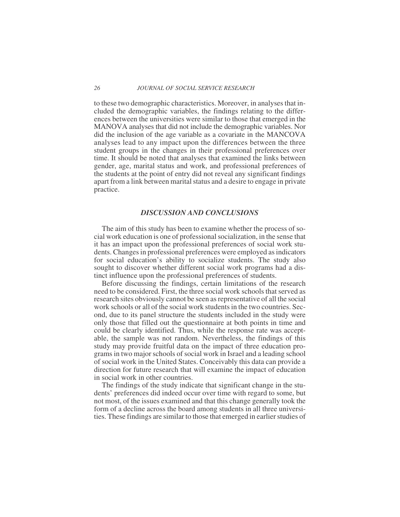to these two demographic characteristics. Moreover, in analyses that included the demographic variables, the findings relating to the differences between the universities were similar to those that emerged in the MANOVA analyses that did not include the demographic variables. Nor did the inclusion of the age variable as a covariate in the MANCOVA analyses lead to any impact upon the differences between the three student groups in the changes in their professional preferences over time. It should be noted that analyses that examined the links between gender, age, marital status and work, and professional preferences of the students at the point of entry did not reveal any significant findings apart from a link between marital status and a desire to engage in private practice.

#### *DISCUSSION AND CONCLUSIONS*

The aim of this study has been to examine whether the process of social work education is one of professional socialization, in the sense that it has an impact upon the professional preferences of social work students. Changes in professional preferences were employed as indicators for social education's ability to socialize students. The study also sought to discover whether different social work programs had a distinct influence upon the professional preferences of students.

Before discussing the findings, certain limitations of the research need to be considered. First, the three social work schools that served as research sites obviously cannot be seen as representative of all the social work schools or all of the social work students in the two countries. Second, due to its panel structure the students included in the study were only those that filled out the questionnaire at both points in time and could be clearly identified. Thus, while the response rate was acceptable, the sample was not random. Nevertheless, the findings of this study may provide fruitful data on the impact of three education programs in two major schools of social work in Israel and a leading school of social work in the United States. Conceivably this data can provide a direction for future research that will examine the impact of education in social work in other countries.

The findings of the study indicate that significant change in the students' preferences did indeed occur over time with regard to some, but not most, of the issues examined and that this change generally took the form of a decline across the board among students in all three universities. These findings are similar to those that emerged in earlier studies of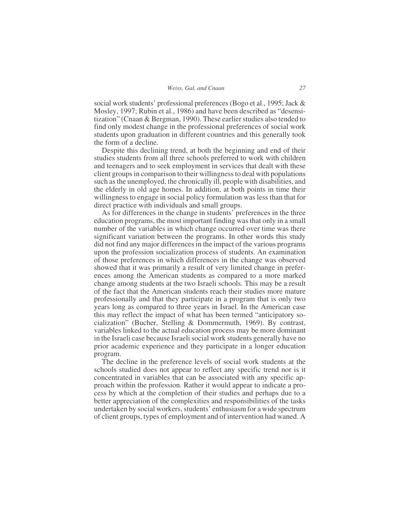social work students' professional preferences (Bogo et al., 1995; Jack & Mosley, 1997; Rubin et al., 1986) and have been described as "desensitization" (Cnaan & Bergman, 1990). These earlier studies also tended to find only modest change in the professional preferences of social work students upon graduation in different countries and this generally took the form of a decline.

Despite this declining trend, at both the beginning and end of their studies students from all three schools preferred to work with children and teenagers and to seek employment in services that dealt with these client groups in comparison to their willingness to deal with populations such as the unemployed, the chronically ill, people with disabilities, and the elderly in old age homes. In addition, at both points in time their willingness to engage in social policy formulation was less than that for direct practice with individuals and small groups.

As for differences in the change in students' preferences in the three education programs, the most important finding was that only in a small number of the variables in which change occurred over time was there significant variation between the programs. In other words this study did not find any major differences in the impact of the various programs upon the profession socialization process of students. An examination of those preferences in which differences in the change was observed showed that it was primarily a result of very limited change in preferences among the American students as compared to a more marked change among students at the two Israeli schools. This may be a result of the fact that the American students reach their studies more mature professionally and that they participate in a program that is only two years long as compared to three years in Israel. In the American case this may reflect the impact of what has been termed "anticipatory socialization" (Bucher, Stelling & Dommermuth, 1969). By contrast, variables linked to the actual education process may be more dominant in the Israeli case because Israeli social work students generally have no prior academic experience and they participate in a longer education program.

The decline in the preference levels of social work students at the schools studied does not appear to reflect any specific trend nor is it concentrated in variables that can be associated with any specific approach within the profession. Rather it would appear to indicate a process by which at the completion of their studies and perhaps due to a better appreciation of the complexities and responsibilities of the tasks undertaken by social workers, students' enthusiasm for a wide spectrum of client groups, types of employment and of intervention had waned. A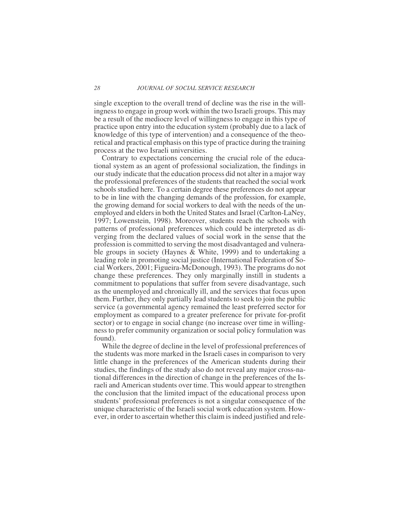single exception to the overall trend of decline was the rise in the willingness to engage in group work within the two Israeli groups. This may be a result of the mediocre level of willingness to engage in this type of practice upon entry into the education system (probably due to a lack of knowledge of this type of intervention) and a consequence of the theoretical and practical emphasis on this type of practice during the training process at the two Israeli universities.

Contrary to expectations concerning the crucial role of the educational system as an agent of professional socialization, the findings in our study indicate that the education process did not alter in a major way the professional preferences of the students that reached the social work schools studied here. To a certain degree these preferences do not appear to be in line with the changing demands of the profession, for example, the growing demand for social workers to deal with the needs of the unemployed and elders in both the United States and Israel (Carlton-LaNey, 1997; Lowenstein, 1998). Moreover, students reach the schools with patterns of professional preferences which could be interpreted as diverging from the declared values of social work in the sense that the profession is committed to serving the most disadvantaged and vulnerable groups in society (Haynes & White, 1999) and to undertaking a leading role in promoting social justice (International Federation of Social Workers, 2001; Figueira-McDonough, 1993). The programs do not change these preferences. They only marginally instill in students a commitment to populations that suffer from severe disadvantage, such as the unemployed and chronically ill, and the services that focus upon them. Further, they only partially lead students to seek to join the public service (a governmental agency remained the least preferred sector for employment as compared to a greater preference for private for-profit sector) or to engage in social change (no increase over time in willingness to prefer community organization or social policy formulation was found).

While the degree of decline in the level of professional preferences of the students was more marked in the Israeli cases in comparison to very little change in the preferences of the American students during their studies, the findings of the study also do not reveal any major cross-national differences in the direction of change in the preferences of the Israeli and American students over time. This would appear to strengthen the conclusion that the limited impact of the educational process upon students' professional preferences is not a singular consequence of the unique characteristic of the Israeli social work education system. However, in order to ascertain whether this claim is indeed justified and rele-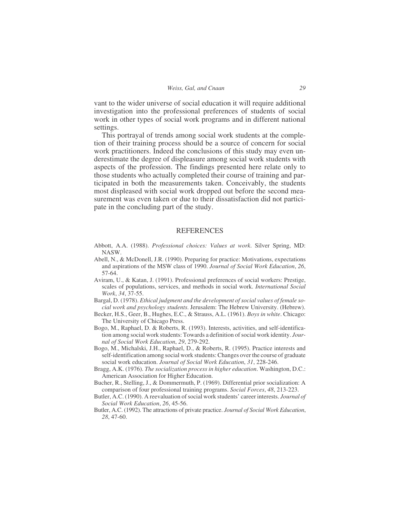vant to the wider universe of social education it will require additional investigation into the professional preferences of students of social work in other types of social work programs and in different national settings.

This portrayal of trends among social work students at the completion of their training process should be a source of concern for social work practitioners. Indeed the conclusions of this study may even underestimate the degree of displeasure among social work students with aspects of the profession. The findings presented here relate only to those students who actually completed their course of training and participated in both the measurements taken. Conceivably, the students most displeased with social work dropped out before the second measurement was even taken or due to their dissatisfaction did not participate in the concluding part of the study.

#### REFERENCES

- Abbott, A.A. (1988). *Professional choices: Values at work*. Silver Spring, MD: NASW.
- Abell, N., & McDonell, J.R. (1990). Preparing for practice: Motivations, expectations and aspirations of the MSW class of 1990. *Journal of Social Work Education*, *26*, 57-64.
- Aviram, U., & Katan, J. (1991). Professional preferences of social workers: Prestige, scales of populations, services, and methods in social work. *International Social Work*, *34*, 37-55.
- Bargal, D. (1978). *Ethical judgment and the development of social values of female social work and psychology students*. Jerusalem: The Hebrew University. (Hebrew).
- Becker, H.S., Geer, B., Hughes, E.C., & Strauss, A.L. (1961). *Boys in white*. Chicago: The University of Chicago Press.
- Bogo, M., Raphael, D. & Roberts, R. (1993). Interests, activities, and self-identification among social work students: Towards a definition of social work identity. *Journal of Social Work Education*, *29*, 279-292.
- Bogo, M., Michalski, J.H., Raphael, D., & Roberts, R. (1995). Practice interests and self-identification among social work students: Changes over the course of graduate social work education. *Journal of Social Work Education*, *31*, 228-246.
- Bragg, A.K. (1976). *The socialization process in higher education*. Washington, D.C.: American Association for Higher Education.
- Bucher, R., Stelling, J., & Dommermuth, P. (1969). Differential prior socialization: A comparison of four professional training programs. *Social Forces*, *48*, 213-223.
- Butler, A.C. (1990). A reevaluation of social work students' career interests. *Journal of Social Work Education*, *26*, 45-56.
- Butler, A.C. (1992). The attractions of private practice. *Journal of Social Work Education*, *28*, 47-60.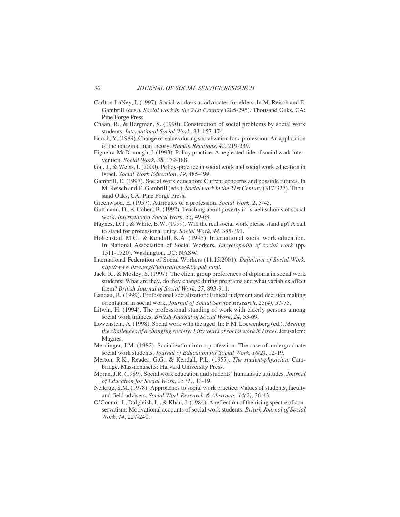- Carlton-LaNey, I. (1997). Social workers as advocates for elders. In M. Reisch and E. Gambrill (eds.), *Social work in the 21st Century* (285-295). Thousand Oaks, CA: Pine Forge Press.
- Cnaan, R., & Bergman, S. (1990). Construction of social problems by social work students. *International Social Work*, *33*, 157-174.
- Enoch, Y. (1989). Change of values during socialization for a profession: An application of the marginal man theory. *Human Relations*, *42*, 219-239.
- Figueira-McDonough, J. (1993). Policy practice: A neglected side of social work intervention. *Social Work*, *38*, 179-188.
- Gal, J., & Weiss, I. (2000). Policy-practice in social work and social work education in Israel. *Social Work Education*, *19*, 485-499.
- Gambrill, E. (1997). Social work education: Current concerns and possible futures. In M. Reisch and E. Gambrill (eds.), *Social work in the 21st Century* (317-327). Thousand Oaks, CA: Pine Forge Press.
- Greenwood, E. (1957). Attributes of a profession. *Social Work*, *2*, 5-45.
- Guttmann, D., & Cohen, B. (1992). Teaching about poverty in Israeli schools of social work. *International Social Work*, *35*, 49-63.
- Haynes, D.T., & White, B.W. (1999). Will the real social work please stand up? A call to stand for professional unity. *Social Work*, *44*, 385-391.
- Hokenstad, M.C., & Kendall, K.A. (1995). International social work education. In National Association of Social Workers, *Encyclopedia of social work* (pp. 1511-1520). Washington, DC: NASW.
- International Federation of Social Workers (11.15.2001). *Definition of Social Work*. *<http://www.ifsw.org/Publications/4.6e.pub.html>*.
- Jack, R., & Mosley, S. (1997). The client group preferences of diploma in social work students: What are they, do they change during programs and what variables affect them? *British Journal of Social Work*, *27*, 893-911.
- Landau, R. (1999). Professional socialization: Ethical judgment and decision making orientation in social work. *Journal of Social Service Research*, *25(4)*, 57-75.
- Litwin, H. (1994). The professional standing of work with elderly persons among social work trainees. *British Journal of Social Work*, *24*, 53-69.
- Lowenstein, A. (1998). Social work with the aged. In: F.M. Loewenberg (ed.). *Meeting the challenges of a changing society: Fifty years of social work in Israel*. Jerusalem: Magnes.
- Merdinger, J.M. (1982). Socialization into a profession: The case of undergraduate social work students. *Journal of Education for Social Work*, *18(2)*, 12-19.
- Merton, R.K., Reader, G.G., & Kendall, P.L. (1957). *The student-physician*. Cambridge, Massachusetts: Harvard University Press.
- Moran, J.R. (1989). Social work education and students' humanistic attitudes. *Journal of Education for Social Work*, *25 (1)*, 13-19.
- Neikrug, S.M. (1978). Approaches to social work practice: Values of students, faculty and field advisers. *Social Work Research & Abstracts*, *14(2)*, 36-43.
- O'Connor, I., Dalgleish, L., & Khan, J. (1984). A reflection of the rising spectre of conservatism: Motivational accounts of social work students. *British Journal of Social Work*, *14*, 227-240.